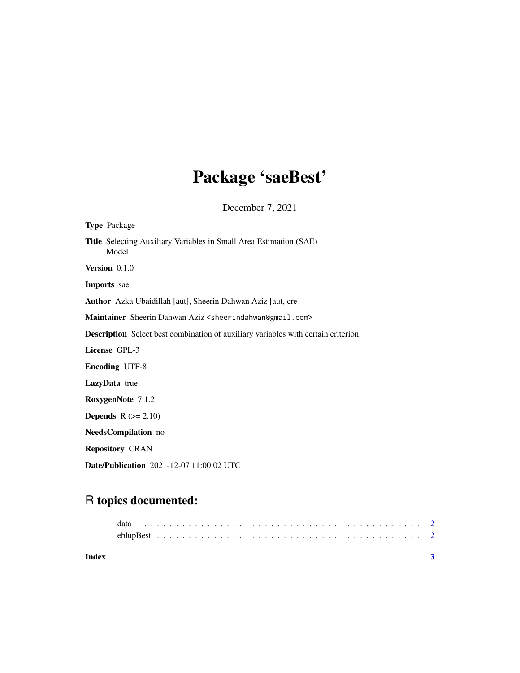## Package 'saeBest'

December 7, 2021

| <b>Type Package</b>                                                                       |  |  |  |
|-------------------------------------------------------------------------------------------|--|--|--|
| <b>Title</b> Selecting Auxiliary Variables in Small Area Estimation (SAE)<br>Model        |  |  |  |
| <b>Version</b> $0.1.0$                                                                    |  |  |  |
| <b>Imports</b> sae                                                                        |  |  |  |
| Author Azka Ubaidillah [aut], Sheerin Dahwan Aziz [aut, cre]                              |  |  |  |
| Maintainer Sheerin Dahwan Aziz <sheerindahwan@gmail.com></sheerindahwan@gmail.com>        |  |  |  |
| <b>Description</b> Select best combination of auxiliary variables with certain criterion. |  |  |  |
| License GPL-3                                                                             |  |  |  |
| <b>Encoding UTF-8</b>                                                                     |  |  |  |
| <b>LazyData</b> true                                                                      |  |  |  |
| RoxygenNote 7.1.2                                                                         |  |  |  |
| <b>Depends</b> $R (= 2.10)$                                                               |  |  |  |
| NeedsCompilation no                                                                       |  |  |  |
| <b>Repository CRAN</b>                                                                    |  |  |  |
| Date/Publication 2021-12-07 11:00:02 UTC                                                  |  |  |  |

### R topics documented:

| Index |  |
|-------|--|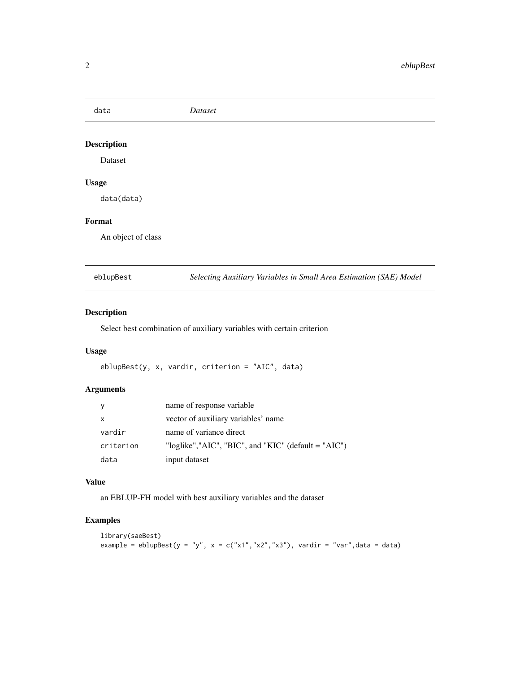<span id="page-1-0"></span>data *Dataset*

#### Description

Dataset

#### Usage

data(data)

#### Format

An object of class

eblupBest *Selecting Auxiliary Variables in Small Area Estimation (SAE) Model*

#### Description

Select best combination of auxiliary variables with certain criterion

#### Usage

eblupBest(y, x, vardir, criterion = "AIC", data)

#### Arguments

| <sub>y</sub> | name of response variable                                           |
|--------------|---------------------------------------------------------------------|
| $\mathsf{x}$ | vector of auxiliary variables' name                                 |
| vardir       | name of variance direct                                             |
| criterion    | "loglike"," $AIC$ ", " $BIC$ ", and " $KIC$ " (default = " $AIC$ ") |
| data         | input dataset                                                       |

#### Value

an EBLUP-FH model with best auxiliary variables and the dataset

#### Examples

```
library(saeBest)
example = eblupBest(y = "y", x = c("x1","x2","x3"), vardir = "var", data = data)
```